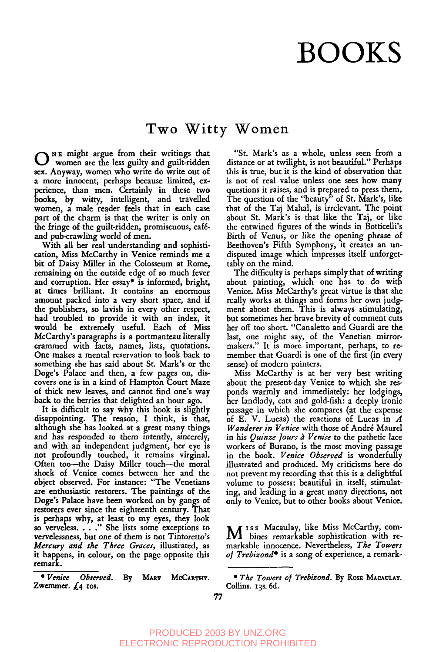## **BOOKS**

## **Two Witty Women**

**O** N s might argue from their writings that women are the less guilty and guilt-ridden sex. Anyway, women who write do write out o£ a more innocent, perhaps because limited, experience, than men. Certainly in these two books, by witty, intelligent, and travelled women, a male reader feels that in each case part of the charm is that the writer is only on the fringe of the guilt-ridden, promiscuous, caféand pub-crawling world of men.

With all her real understanding and sophistication, Miss McCarthy in Venice reminds me a bit of Daisy Miller in the Colosseum at Rome, remaining on the outside edge of so much fever and corruption. Her essay\* is informed, bright, at times brilliant. It contains an enormous amount packed into a very short space, and if the publishers, so lavish in every other respect, had troubled .to provide it with an index, it would be, extremely useful. Each of Miss McCarthy's paragraphs is a portmanteau literally crammed with facts, names, lists, quotations. One makes a mental reservation to look back to something she has said about St. Mark's or the Doge's Palace and then, a few pages on, discovers one is in a kind of Hampton Court Maze of thick new leaves, and cannot find one's way back to the berries that delighted an hour ago.

It is difficult to say why this book is slightly disappointing. The reason, I think, is that, although she has looked at a great many things and has responded to them intently, sincerely, and with an independent judgment, her eye is not profoundly touched, it remains virginal. Often too--the Daisy Miller touch--the moral shock of Venice comes between her and the obiect observed. For instance: "The Venetians are enthusiastic restorers. The paintings of the Doge's Palace have been worked on by gangs of restorers ever since the eighteenth century. That is perhaps why, at least to my eyes, they look so verveless. . . . " She lists some exceptions to vervelessness, but one of them is not Tintoretto's *Mercury and the Three Graces*, illustrated, as it happens, in colour, on the page opposite this remarK.

*\* Venice Observed.* By MARY McCARTHY. Zwemmer.  $f_4$  ros.

"St. Mark's as a whole, unless seen from a distance or at twilight, is not beautiful." Perhaps this is true, but it is the kind of observation that is not of real value unless one sees how many questions it raises, and is prepared to press them. The question of the "beauty" of St. Mark's, like that of the Taj Mahal, is irrelevant. The point about St. Mark's is that like the Taj, or like the entwined figures of the winds in Botticelli's Birth of Venus, or like the opening phrase of Beethoven's Fifth Symphony, it creates an undisputed image which impresses itself unforgettably on the mind.

The difficulty is perhaps simply that of writing about painting, which one has to do with Venice. Miss McCarthy's great virtue is that she really works at things and forms her own judgment about them. This is always stimulating, but sometimes her brave brevity of comment cuts her off too short. "Canaletto and Guardi are the last, one might say, of the Venetian mirrormakers." It is more important, perhaps, to member that Guardi is one of the first (in every sense) of modern painters.

Miss McCarthy is at her very best writing about the present-day Venice to which she responds warmly and immediately: her lodgings, her landlady, cats and gold-fish: a deeply ironic' passage in which she compares (at the expense of E. V. Lucas) the reactions of Lucas in  $A$ *Wanderer in Venice* with those of André Maurel in his *Quinze Jours à Venise* to the pathetic lace workers of Burano, is the most moving passage in the book. *Venice Observed* is wonderfully illustrated and produced. My criticisms here do not prevent my recording that this is a delightful volume to possess: beautiful in itself, stimulating, and leading in a great many directions, not only to Venice, but to other books about Venice.

M ISS Macaulay, like Miss McCarthy, com-<br>bines remarkable sophistication with remarkable innocence. Nevertheless, *The Towers o[ Trebizond\** is a song of experience, a remark-

<sup>\*</sup> The Towers of Trebizond. By Rose MACAULAY. Collins. 13s. 6d.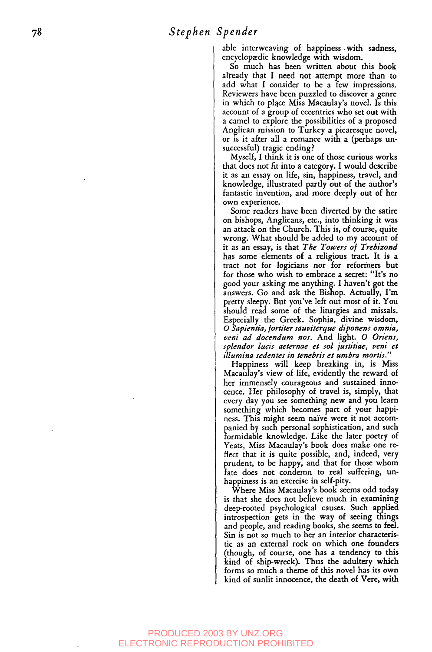able interweaving of happiness .with sadness, encyclopaedic knowledge with wisdom.

So much has been written about this book already that I need not attempt more than to add what I consider to be a few impressions. Reviewers have been puzzled to discover a genre in which to place Miss Macaulay's novel. Is this account of a group of eccentrics who set out with a camel to explore the possibilities of a proposed Anglican mission to Turkey a picaresque novel, or is it after all a romance with a (perhaps unsuccessful) tragic ending?

Myself, I think it is one of those curious works that does not fit into a category. I would describe it as an essay on life, sin, happiness, travel, and knowledge, illustrated pardy out of the author's fantastic invention, and more deeply out of her own experience.

Some readers have been diverted by the satire on bishops, Anglicans, etc., into thinking it was an attack on the Church. This is, of course, quite wrong. What should be added to my account of it as an essay, is that *The Towers of Trebizond* has some elements of a religious tract. It is a tract not for logicians nor for reformers but for those who wish to embrace a secret: "It's no good your asking me anything. I haven't got the answers. Go and ask the Bishop. Actually, I'm pretty sleepy. But you've left out most of it. You should read some of the liturgies and missals. Especially the Greek. Sophia, divine wisdom, *0 Sapientia,/ortiter sauuiterque diponens omnia, veni ad docendum nos.* And light. O *Oriens, splendor lucis aeternae et sol justitiae, veni et illumina sedentes in tenebris et umbra morris."*

Happiness will keep breaking in, is Miss Macaulay's view of life, evidently the reward of her immensely courageous and sustained innocence. Her philosophy of travel is, simply, that every day you see something new and you learn something which becomes part of your happiness. This might seem naive were it not accompanied by such personal sophistication, and such formidable knowledge. Like the later poetry of Yeats, Miss Macaulay's book does make one reflect that it is quite possible, and, indeed, very prudent, to be happy, and that for those whom fate does not condemn to real suffering, unhappiness is an exercise in self-pity.

Where Miss Macaulay's book seems odd today is that she does not believe much in examining deep-rooted psychological causes. Such applied introspection gets in the way of seeing thing and people, and reading books, she seems to feel. Sin is not so much to her an interior characteristic as an external rock on which one founders (though, of course, one has a tendency to this kind of ship-wreck). Thus the adultery which forms so much a theme of this novel has its own kind of sunlit innocence, the death of Vere, with